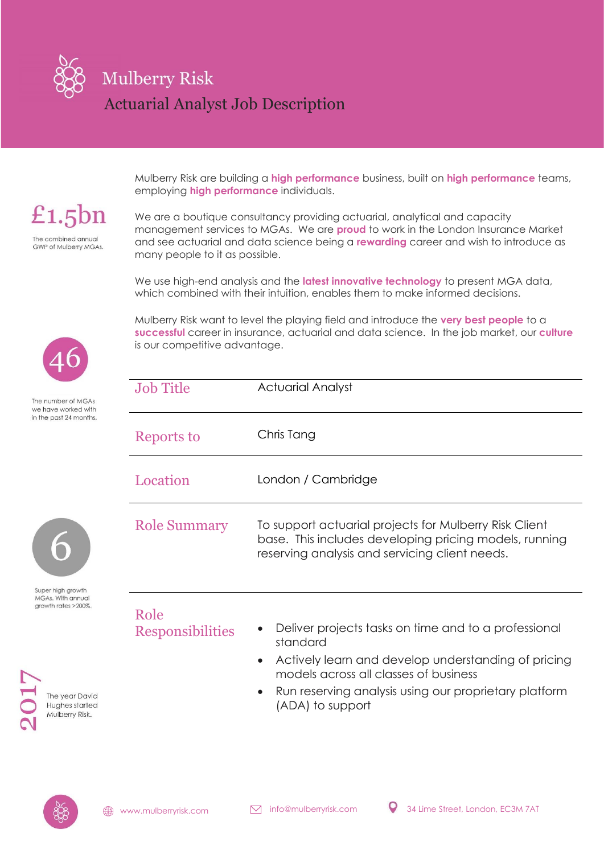

Mulberry Risk are building a **high performance** business, built on **high performance** teams, employing **high performance** individuals.

£1.5 $bn$ The combined annual **GWP of Mulberry MGAs.** 

We are a boutique consultancy providing actuarial, analytical and capacity management services to MGAs. We are **proud** to work in the London Insurance Market and see actuarial and data science being a **rewarding** career and wish to introduce as many people to it as possible.

We use high-end analysis and the **latest innovative technology** to present MGA data, which combined with their intuition, enables them to make informed decisions.

Mulberry Risk want to level the playing field and introduce the **very best people** to a **successful** career in insurance, actuarial and data science. In the job market, our **culture** is our competitive advantage.

| <b>Job Title</b>    | <b>Actuarial Analyst</b>                                                                                                                                           |
|---------------------|--------------------------------------------------------------------------------------------------------------------------------------------------------------------|
| Reports to          | Chris Tang                                                                                                                                                         |
| Location            | London / Cambridge                                                                                                                                                 |
| <b>Role Summary</b> | To support actuarial projects for Mulberry Risk Client<br>base. This includes developing pricing models, running<br>reserving analysis and servicing client needs. |



The number of MGAs we have worked with in the past 24 months.

Super high growth MGAs. With annual arowth rates >200%.



- Role
	- Responsibilities Deliver projects tasks on time and to a professional standard
		- Actively learn and develop understanding of pricing models across all classes of business
		- Run reserving analysis using our proprietary platform (ADA) to support